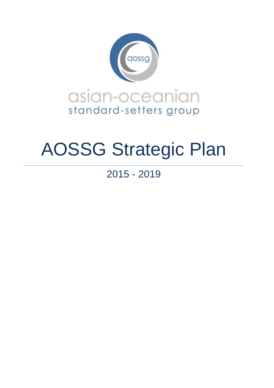

# AOSSG Strategic Plan

2015 - 2019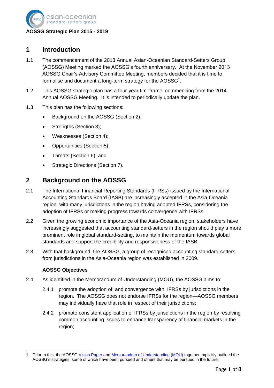

## **1 Introduction**

- 1.1 The commencement of the 2013 Annual Asian-Oceanian Standard-Setters Group (AOSSG) Meeting marked the AOSSG's fourth anniversary. At the November 2013 AOSSG Chair's Advisory Committee Meeting, members decided that it is time to formalise and document a long-term strategy for the AOSSG<sup>1</sup>.
- 1.2 This AOSSG strategic plan has a four-year timeframe, commencing from the 2014 Annual AOSSG Meeting. It is intended to periodically update the plan.
- 1.3 This plan has the following sections:
	- Background on the AOSSG (Section 2);
	- Strengths (Section 3);
	- Weaknesses (Section 4);
	- Opportunities (Section 5);
	- Threats (Section 6); and
	- Strategic Directions (Section 7).

# **2 Background on the AOSSG**

- 2.1 The International Financial Reporting Standards (IFRSs) issued by the International Accounting Standards Board (IASB) are increasingly accepted in the Asia-Oceania region, with many jurisdictions in the region having adopted IFRSs, considering the adoption of IFRSs or making progress towards convergence with IFRSs.
- 2.2 Given the growing economic importance of the Asia-Oceania region, stakeholders have increasingly suggested that accounting standard-setters in the region should play a more prominent role in global standard-setting, to maintain the momentum towards global standards and support the credibility and responsiveness of the IASB.
- 2.3 With that background, the AOSSG, a group of recognised accounting standard-setters from jurisdictions in the Asia-Oceania region was established in 2009.

#### **AOSSG Objectives**

- 2.4 As identified in the Memorandum of Understanding (MOU), the AOSSG aims to:
	- 2.4.1 promote the adoption of, and convergence with, IFRSs by jurisdictions in the region. The AOSSG does not endorse IFRSs for the region—AOSSG members may individually have that role in respect of their jurisdictions;
	- 2.4.2 promote consistent application of IFRSs by jurisdictions in the region by resolving common accounting issues to enhance transparency of financial markets in the region;

 $\overline{\phantom{a}}$ 1 Prior to this, the AOSSG [Vision Paper](http://www.aossg.org/docs/About_Us/AOSSG_Vision_Paper_Revised_Aug_2012.pdf) and [Memorandum of Understanding \(MOU\)](http://www.aossg.org/docs/About_Us/AOSSG_MoU_revised_as_at_24_November_2011.pdf) together implicitly outlined the AOSSG's strategies, some of which have been pursued and others that may be pursued in the future.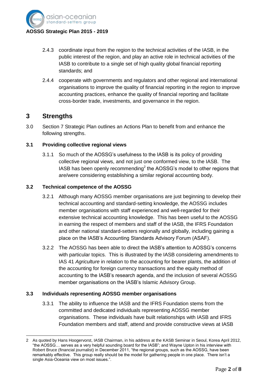

### 2.4.3 coordinate input from the region to the technical activities of the IASB, in the public interest of the region, and play an active role in technical activities of the IASB to contribute to a single set of high quality global financial reporting standards; and

2.4.4 cooperate with governments and regulators and other regional and international organisations to improve the quality of financial reporting in the region to improve accounting practices, enhance the quality of financial reporting and facilitate cross-border trade, investments, and governance in the region.

## **3 Strengths**

 $\overline{\phantom{a}}$ 

3.0 Section 7 Strategic Plan outlines an Actions Plan to benefit from and enhance the following strengths.

#### **3.1 Providing collective regional views**

3.1.1 So much of the AOSSG's usefulness to the IASB is its policy of providing collective regional views, and not just one conformed view, to the IASB. The IASB has been openly recommending<sup>2</sup> the AOSSG's model to other regions that are/were considering establishing a similar regional accounting body.

#### **3.2 Technical competence of the AOSSG**

- 3.2.1 Although many AOSSG member organisations are just beginning to develop their technical accounting and standard-setting knowledge, the AOSSG includes member organisations with staff experienced and well-regarded for their extensive technical accounting knowledge. This has been useful to the AOSSG in earning the respect of members and staff of the IASB, the IFRS Foundation and other national standard-setters regionally and globally, including gaining a place on the IASB's Accounting Standards Advisory Forum (ASAF).
- 3.2.2 The AOSSG has been able to direct the IASB's attention to AOSSG's concerns with particular topics. This is illustrated by the IASB considering amendments to IAS 41 *Agriculture* in relation to the accounting for bearer plants, the addition of the accounting for foreign currency transactions and the equity method of accounting to the IASB's research agenda, and the inclusion of several AOSSG member organisations on the IASB's Islamic Advisory Group.

#### **3.3 Individuals representing AOSSG member organisations**

3.3.1 The ability to influence the IASB and the IFRS Foundation stems from the committed and dedicated individuals representing AOSSG member organisations. These individuals have built relationships with IASB and IFRS Foundation members and staff, attend and provide constructive views at IASB

<sup>2</sup> As quoted by Hans Hoogervorst, IASB Chairman, in his address at the KASB Seminar in Seoul, Korea April 2012, "the AOSSG… serves as a very helpful sounding board for the IASB"; and Wayne Upton in his interview with Robert Bruce (financial journalist) in December 2011, "the regional groups, such as the AOSSG, have been remarkably effective. This group really should be the model for gathering people in one place. There isn't a single Asia-Oceania view on most issues.".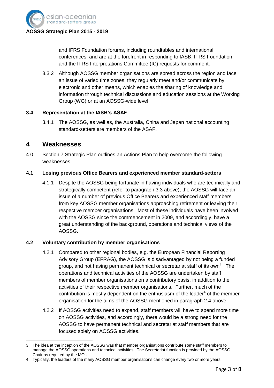

and IFRS Foundation forums, including roundtables and international conferences, and are at the forefront in responding to IASB, IFRS Foundation and the IFRS Interpretations Committee (IC) requests for comment.

3.3.2 Although AOSSG member organisations are spread across the region and face an issue of varied time zones, they regularly meet and/or communicate by electronic and other means, which enables the sharing of knowledge and information through technical discussions and education sessions at the Working Group (WG) or at an AOSSG-wide level.

#### **3.4 Representation at the IASB's ASAF**

3.4.1 The AOSSG, as well as, the Australia, China and Japan national accounting standard-setters are members of the ASAF.

## **4 Weaknesses**

4.0 Section 7 Strategic Plan outlines an Actions Plan to help overcome the following weaknesses.

#### **4.1 Losing previous Office Bearers and experienced member standard-setters**

4.1.1 Despite the AOSSG being fortunate in having individuals who are technically and strategically competent (refer to paragraph 3.3 above), the AOSSG will face an issue of a number of previous Office Bearers and experienced staff members from key AOSSG member organisations approaching retirement or leaving their respective member organisations. Most of these individuals have been involved with the AOSSG since the commencement in 2009, and accordingly, have a great understanding of the background, operations and technical views of the AOSSG.

#### **4.2 Voluntary contribution by member organisations**

- 4.2.1 Compared to other regional bodies, e.g. the European Financial Reporting Advisory Group (EFRAG), the AOSSG is disadvantaged by not being a funded group, and not having permanent technical or secretariat staff of its own<sup>3</sup>. The operations and technical activities of the AOSSG are undertaken by staff members of member organisations on a contributory basis, in addition to the activities of their respective member organisations. Further, much of the contribution is mostly dependent on the enthusiasm of the leader<sup>4</sup> of the member organisation for the aims of the AOSSG mentioned in paragraph 2.4 above.
- 4.2.2 If AOSSG activities need to expand, staff members will have to spend more time on AOSSG activities, and accordingly, there would be a strong need for the AOSSG to have permanent technical and secretariat staff members that are focused solely on AOSSG activities.

 $\overline{\phantom{a}}$ 3 The idea at the inception of the AOSSG was that member organisations contribute some staff members to manage the AOSSG operations and technical activities. The Secretariat function is provided by the AOSSG Chair as required by the MOU.

<sup>4</sup> Typically, the leaders of the many AOSSG member organisations can change every two or more years.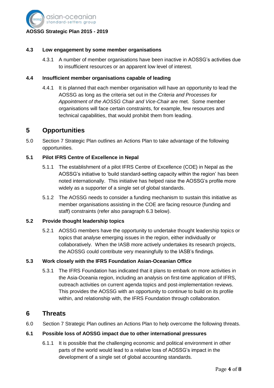

#### **4.3 Low engagement by some member organisations**

4.3.1 A number of member organisations have been inactive in AOSSG's activities due to insufficient resources or an apparent low level of interest.

#### **4.4 Insufficient member organisations capable of leading**

4.4.1 It is planned that each member organisation will have an opportunity to lead the AOSSG as long as the criteria set out in the *Criteria and Processes for Appointment of the AOSSG Chair and Vice-Chair* are met. Some member organisations will face certain constraints, for example, few resources and technical capabilities, that would prohibit them from leading.

## **5 Opportunities**

5.0 Section 7 Strategic Plan outlines an Actions Plan to take advantage of the following opportunities.

#### **5.1 Pilot IFRS Centre of Excellence in Nepal**

- 5.1.1 The establishment of a pilot IFRS Centre of Excellence (COE) in Nepal as the AOSSG's initiative to 'build standard-setting capacity within the region' has been noted internationally. This initiative has helped raise the AOSSG's profile more widely as a supporter of a single set of global standards.
- 5.1.2 The AOSSG needs to consider a funding mechanism to sustain this initiative as member organisations assisting in the COE are facing resource (funding and staff) constraints (refer also paragraph 6.3 below).

#### **5.2 Provide thought leadership topics**

5.2.1 AOSSG members have the opportunity to undertake thought leadership topics or topics that analyse emerging issues in the region, either individually or collaboratively. When the IASB more actively undertakes its research projects, the AOSSG could contribute very meaningfully to the IASB's findings.

#### **5.3 Work closely with the IFRS Foundation Asian-Oceanian Office**

5.3.1 The IFRS Foundation has indicated that it plans to embark on more activities in the Asia-Oceania region, including an analysis on first-time application of IFRS, outreach activities on current agenda topics and post-implementation reviews. This provides the AOSSG with an opportunity to continue to build on its profile within, and relationship with, the IFRS Foundation through collaboration.

## **6 Threats**

6.0 Section 7 Strategic Plan outlines an Actions Plan to help overcome the following threats.

#### **6.1 Possible loss of AOSSG impact due to other international pressures**

6.1.1 It is possible that the challenging economic and political environment in other parts of the world would lead to a relative loss of AOSSG's impact in the development of a single set of global accounting standards.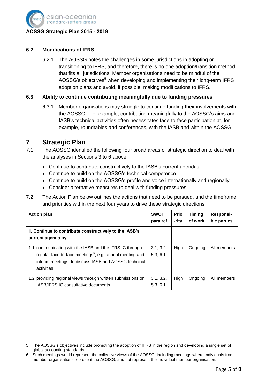

#### **6.2 Modifications of IFRS**

6.2.1 The AOSSG notes the challenges in some jurisdictions in adopting or transitioning to IFRS, and therefore, there is no one adoption/transition method that fits all jurisdictions. Member organisations need to be mindful of the AOSSG's objectives<sup>5</sup> when developing and implementing their long-term IFRS adoption plans and avoid, if possible, making modifications to IFRS.

#### **6.3 Ability to continue contributing meaningfully due to funding pressures**

6.3.1 Member organisations may struggle to continue funding their involvements with the AOSSG. For example, contributing meaningfully to the AOSSG's aims and IASB's technical activities often necessitates face-to-face participation at, for example, roundtables and conferences, with the IASB and within the AOSSG.

## **7 Strategic Plan**

- 7.1 The AOSSG identified the following four broad areas of strategic direction to deal with the analyses in Sections 3 to 6 above:
	- Continue to contribute constructively to the IASB's current agendas
	- Continue to build on the AOSSG's technical competence
	- Continue to build on the AOSSG's profile and voice internationally and regionally
	- Consider alternative measures to deal with funding pressures
- 7.2 The Action Plan below outlines the actions that need to be pursued, and the timeframe and priorities within the next four years to drive these strategic directions.

| <b>Action plan</b>                                                                                                                                                                                     | <b>SWOT</b><br>para ref. | <b>Prio</b><br>-rity | <b>Timing</b><br>of work | Responsi-<br>ble parties |
|--------------------------------------------------------------------------------------------------------------------------------------------------------------------------------------------------------|--------------------------|----------------------|--------------------------|--------------------------|
| 1. Continue to contribute constructively to the IASB's<br>current agenda by:                                                                                                                           |                          |                      |                          |                          |
| 1.1 communicating with the IASB and the IFRS IC through<br>regular face-to-face meetings <sup>6</sup> , e.g. annual meeting and<br>interim meetings, to discuss IASB and AOSSG technical<br>activities | 3.1, 3.2,<br>5.3, 6.1    | High                 | Ongoing                  | All members              |
| 1.2 providing regional views through written submissions on<br><b>IASB/IFRS IC consultative documents</b>                                                                                              | 3.1, 3.2,<br>5.3, 6.1    | High                 | Ongoing                  | All members              |

 $\overline{\phantom{a}}$ 5 The AOSSG's objectives include promoting the adoption of IFRS in the region and developing a single set of global accounting standards

<sup>6</sup> Such meetings would represent the collective views of the AOSSG, including meetings where individuals from member organisations represent the AOSSG, and not represent the individual member organisation.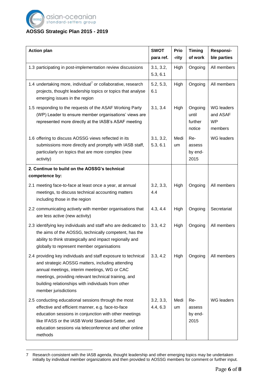

## **AOSSG Strategic Plan 2015 - 2019**

| <b>Action plan</b>                                                                                                                                                                                                                                                                                      | <b>SWOT</b><br>para ref. | Prio<br>-rity | <b>Timing</b><br>of work              | Responsi-<br>ble parties                              |
|---------------------------------------------------------------------------------------------------------------------------------------------------------------------------------------------------------------------------------------------------------------------------------------------------------|--------------------------|---------------|---------------------------------------|-------------------------------------------------------|
| 1.3 participating in post-implementation review discussions                                                                                                                                                                                                                                             | 3.1, 3.2,<br>5.3, 6.1    | High          | Ongoing                               | All members                                           |
| 1.4 undertaking more, individual <sup>7</sup> or collaborative, research<br>projects, thought leadership topics or topics that analyse<br>emerging issues in the region                                                                                                                                 | 5.2, 5.3,<br>6.1         | High          | Ongoing                               | All members                                           |
| 1.5 responding to the requests of the ASAF Working Party<br>(WP) Leader to ensure member organisations' views are<br>represented more directly at the IASB's ASAF meeting                                                                                                                               | 3.1, 3.4                 | High          | Ongoing<br>until<br>further<br>notice | <b>WG</b> leaders<br>and ASAF<br><b>WP</b><br>members |
| 1.6 offering to discuss AOSSG views reflected in its<br>submissions more directly and promptly with IASB staff,<br>particularly on topics that are more complex (new<br>activity)                                                                                                                       | 3.1, 3.2,<br>5.3, 6.1    | Medi<br>um    | Re-<br>assess<br>by end-<br>2015      | <b>WG</b> leaders                                     |
| 2. Continue to build on the AOSSG's technical<br>competence by:                                                                                                                                                                                                                                         |                          |               |                                       |                                                       |
| 2.1 meeting face-to-face at least once a year, at annual<br>meetings, to discuss technical accounting matters<br>including those in the region                                                                                                                                                          | 3.2, 3.3,<br>4.4         | High          | Ongoing                               | All members                                           |
| 2.2 communicating actively with member organisations that<br>are less active (new activity)                                                                                                                                                                                                             | 4.3, 4.4                 | High          | Ongoing                               | Secretariat                                           |
| 2.3 identifying key individuals and staff who are dedicated to<br>the aims of the AOSSG, technically competent, has the<br>ability to think strategically and impact regionally and<br>globally to represent member organisations                                                                       | 3.3, 4.2                 | High          | Ongoing                               | All members                                           |
| 2.4 providing key individuals and staff exposure to technical<br>and strategic AOSSG matters, including attending<br>annual meetings, interim meetings, WG or CAC<br>meetings, providing relevant technical training, and<br>building relationships with individuals from other<br>member jurisdictions | 3.3, 4.2                 | High          | Ongoing                               | All members                                           |
| 2.5 conducting educational sessions through the most<br>effective and efficient manner, e.g. face-to-face<br>education sessions in conjunction with other meetings<br>like IFASS or the IASB World Standard-Setter, and<br>education sessions via teleconference and other online<br>methods            | 3.2, 3.3,<br>4.4, 6.3    | Medi<br>um    | Re-<br>assess<br>by end-<br>2015      | <b>WG</b> leaders                                     |

 $\overline{\phantom{a}}$ 7 Research consistent with the IASB agenda, thought leadership and other emerging topics may be undertaken initially by individual member organizations and then provided to AOSSG members for comment or further input.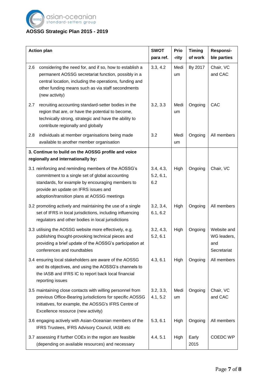

# **AOSSG Strategic Plan 2015 - 2019**

|     | <b>Action plan</b>                                                                                                                                                                                                                                 | <b>SWOT</b><br>para ref.      | Prio<br>-rity | <b>Timing</b><br>of work | Responsi-<br>ble parties                         |
|-----|----------------------------------------------------------------------------------------------------------------------------------------------------------------------------------------------------------------------------------------------------|-------------------------------|---------------|--------------------------|--------------------------------------------------|
| 2.6 | considering the need for, and if so, how to establish a<br>permanent AOSSG secretariat function, possibly in a<br>central location, including the operations, funding and<br>other funding means such as via staff secondments<br>(new activity)   | 3.3, 4.2                      | Medi<br>um    | By 2017                  | Chair, VC<br>and CAC                             |
| 2.7 | recruiting accounting standard-setter bodies in the<br>region that are, or have the potential to become,<br>technically strong, strategic and have the ability to<br>contribute regionally and globally                                            | 3.2, 3.3                      | Medi<br>um    | Ongoing                  | CAC                                              |
| 2.8 | individuals at member organisations being made<br>available to another member organisation                                                                                                                                                         | 3.2                           | Medi<br>um    | Ongoing                  | All members                                      |
|     | 3. Continue to build on the AOSSG profile and voice<br>regionally and internationally by:                                                                                                                                                          |                               |               |                          |                                                  |
|     | 3.1 reinforcing and reminding members of the AOSSG's<br>commitment to a single set of global accounting<br>standards, for example by encouraging members to<br>provide an update on IFRS issues and<br>adoption/transition plans at AOSSG meetings | 3.4, 4.3,<br>5.2, 6.1,<br>6.2 | High          | Ongoing                  | Chair, VC                                        |
|     | 3.2 promoting actively and maintaining the use of a single<br>set of IFRS in local jurisdictions, including influencing<br>regulators and other bodies in local jurisdictions                                                                      | 3.2, 3.4,<br>6.1, 6.2         | High          | Ongoing                  | All members                                      |
|     | 3.3 utilising the AOSSG website more effectively, e.g.<br>publishing thought-provoking technical pieces and<br>providing a brief update of the AOSSG's participation at<br>conferences and roundtables                                             | 3.2, 4.3,<br>5.2, 6.1         | High          | Ongoing                  | Website and<br>WG leaders,<br>and<br>Secretariat |
|     | 3.4 ensuring local stakeholders are aware of the AOSSG<br>and its objectives, and using the AOSSG's channels to<br>the IASB and IFRS IC to report back local financial<br>reporting issues                                                         | 4.3, 6.1                      | High          | Ongoing                  | All members                                      |
|     | 3.5 maintaining close contacts with willing personnel from<br>previous Office-Bearing jurisdictions for specific AOSSG<br>initiatives, for example, the AOSSG's IFRS Centre of<br>Excellence resource (new activity)                               | 3.2, 3.3,<br>4.1, 5.2         | Medi<br>um    | Ongoing                  | Chair, VC<br>and CAC                             |
|     | 3.6 engaging actively with Asian-Oceanian members of the<br>IFRS Trustees, IFRS Advisory Council, IASB etc                                                                                                                                         | 5.3, 6.1                      | High          | Ongoing                  | All members                                      |
|     | 3.7 assessing if further COEs in the region are feasible<br>(depending on available resources) and necessary                                                                                                                                       | 4.4, 5.1                      | High          | Early<br>2015            | <b>COEDC WP</b>                                  |